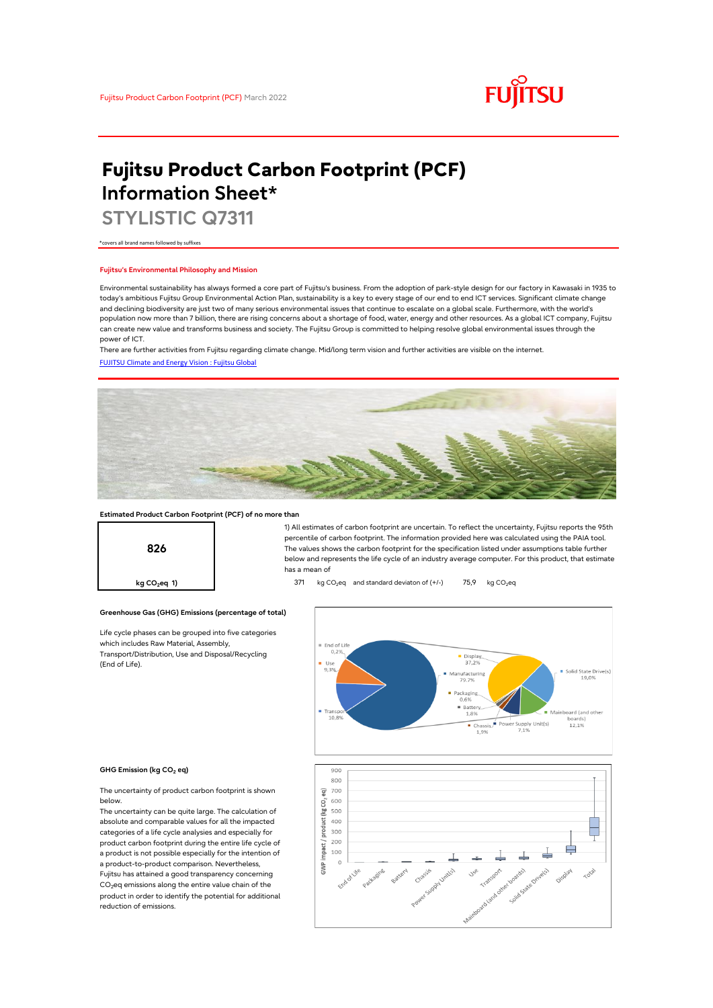

# **Fujitsu Product Carbon Footprint (PCF) Information Sheet\***

**STYLISTIC Q7311**

\*covers all brand names followed by suffixes

# **Fujitsu's Environmental Philosophy and Mission**

Environmental sustainability has always formed a core part of Fujitsu's business. From the adoption of park-style design for our factory in Kawasaki in 1935 to today's ambitious Fujitsu Group Environmental Action Plan, sustainability is a key to every stage of our end to end ICT services. Significant climate change and declining biodiversity are just two of many serious environmental issues that continue to escalate on a global scale. Furthermore, with the world's population now more than 7 billion, there are rising concerns about a shortage of food, water, energy and other resources. As a global ICT company, Fujitsu can create new value and transforms business and society. The Fujitsu Group is committed to helping resolve global environmental issues through the power of ICT.

[FUJITSU Climate and Energy Vision : Fujitsu Global](https://www.fujitsu.com/global/about/environment/climate-energy-vision/) There are further activities from Fujitsu regarding climate change. Mid/long term vision and further activities are visible on the internet.



# **Estimated Product Carbon Footprint (PCF) of no more than**



1) All estimates of carbon footprint are uncertain. To reflect the uncertainty, Fujitsu reports the 95th percentile of carbon footprint. The information provided here was calculated using the PAIA tool. The values shows the carbon footprint for the specification listed under assumptions table further below and represents the life cycle of an industry average computer. For this product, that estimate has a mean of

**kg CO<sub>2</sub>eq 1) 1 b** 371 kg CO<sub>2</sub>eq and standard deviaton of (+/-) 75,9 kg CO<sub>2</sub>eq



### **GHG Emission (kg CO2 eq)**

(End of Life).

The uncertainty of product carbon footprint is shown below.

Life cycle phases can be grouped into five categories

**Greenhouse Gas (GHG) Emissions (percentage of total)**

which includes Raw Material, Assembly, Transport/Distribution, Use and Disposal/Recycling

The uncertainty can be quite large. The calculation of absolute and comparable values for all the impacted categories of a life cycle analysies and especially for product carbon footprint during the entire life cycle of a product is not possible especially for the intention of a product-to-product comparison. Nevertheless, Fujitsu has attained a good transparency concerning  $CO<sub>2</sub>$ eq emissions along the entire value chain of the product in order to identify the potential for additional reduction of emissions.